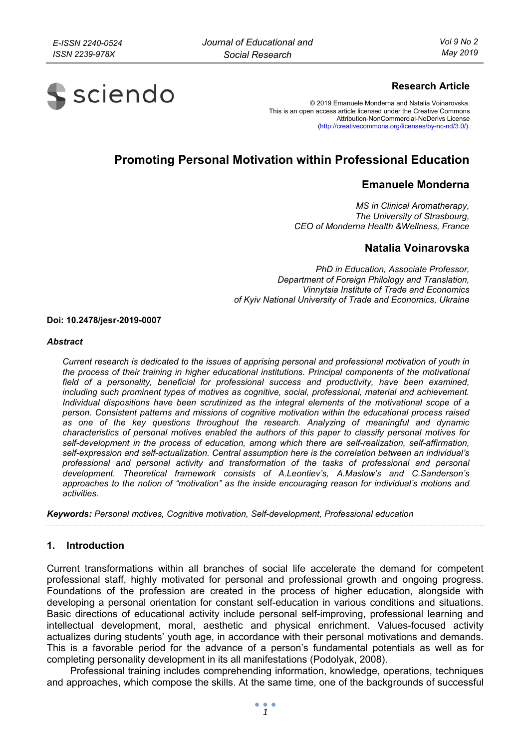

# **Research Article**

© 2019 Emanuele Monderna and Natalia Voinarovska. This is an open access article licensed under the Creative Commons Attribution-NonCommercial-NoDerivs License (http://creativecommons.org/licenses/by-nc-nd/3.0/).

# **Promoting Personal Motivation within Professional Education**

# **Emanuele Monderna**

*MS in Clinical Aromatherapy, The University of Strasbourg, CEO of Monderna Health &Wellness, France* 

# **Natalia Voinarovska**

*PhD in Education, Associate Professor, Department of Foreign Philology and Translation, Vinnytsia Institute of Trade and Economics of Kyiv National University of Trade and Economics, Ukraine* 

#### **Doi: 10.2478/jesr-2019-0007**

#### *Abstract*

*Current research is dedicated to the issues of apprising personal and professional motivation of youth in the process of their training in higher educational institutions. Principal components of the motivational*  field of a personality, beneficial for professional success and productivity, have been examined, *including such prominent types of motives as cognitive, social, professional, material and achievement. Individual dispositions have been scrutinized as the integral elements of the motivational scope of a person. Consistent patterns and missions of cognitive motivation within the educational process raised as one of the key questions throughout the research. Analyzing of meaningful and dynamic characteristics of personal motives enabled the authors of this paper to classify personal motives for self-development in the process of education, among which there are self-realization, self-affirmation, self-expression and self-actualization. Central assumption here is the correlation between an individual's professional and personal activity and transformation of the tasks of professional and personal development. Theoretical framework consists of A.Leontiev's, A.Maslow's and C.Sanderson's approaches to the notion of "motivation" as the inside encouraging reason for individual's motions and activities.* 

*Keywords: Personal motives, Cognitive motivation, Self-development, Professional education* 

## **1. Introduction**

Current transformations within all branches of social life accelerate the demand for competent professional staff, highly motivated for personal and professional growth and ongoing progress. Foundations of the profession are created in the process of higher education, alongside with developing a personal orientation for constant self-education in various conditions and situations. Basic directions of educational activity include personal self-improving, professional learning and intellectual development, moral, aesthetic and physical enrichment. Values-focused activity actualizes during students' youth age, in accordance with their personal motivations and demands. This is a favorable period for the advance of a person's fundamental potentials as well as for completing personality development in its all manifestations (Podolyak, 2008).

Professional training includes comprehending information, knowledge, operations, techniques and approaches, which compose the skills. At the same time, one of the backgrounds of successful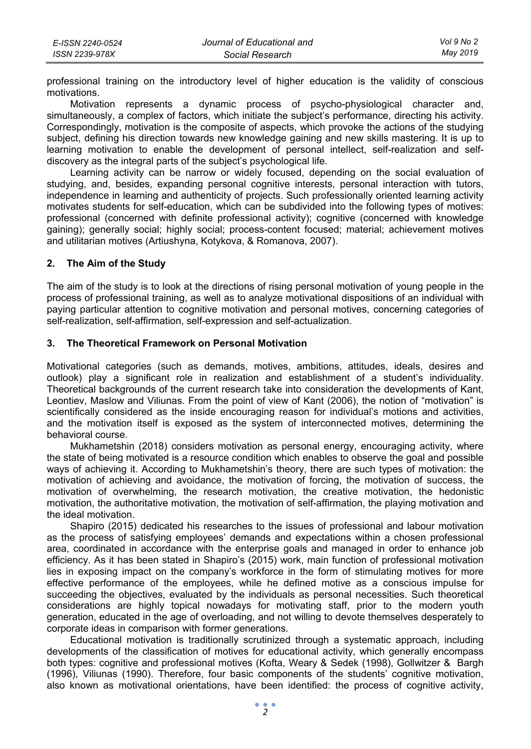| E-ISSN 2240-0524 | Journal of Educational and | Vol 9 No 2 |
|------------------|----------------------------|------------|
| ISSN 2239-978X   | Social Research            | Mav 2019   |

professional training on the introductory level of higher education is the validity of conscious motivations.

Motivation represents a dynamic process of psycho-physiological character and, simultaneously, a complex of factors, which initiate the subject's performance, directing his activity. Correspondingly, motivation is the composite of aspects, which provoke the actions of the studying subject, defining his direction towards new knowledge gaining and new skills mastering. It is up to learning motivation to enable the development of personal intellect, self-realization and selfdiscovery as the integral parts of the subject's psychological life.

Learning activity can be narrow or widely focused, depending on the social evaluation of studying, and, besides, expanding personal cognitive interests, personal interaction with tutors, independence in learning and authenticity of projects. Such professionally oriented learning activity motivates students for self-education, which can be subdivided into the following types of motives: professional (concerned with definite professional activity); cognitive (concerned with knowledge gaining); generally social; highly social; process-content focused; material; achievement motives and utilitarian motives (Artiushyna, Kotykova, & Romanova, 2007).

## **2. The Aim of the Study**

The aim of the study is to look at the directions of rising personal motivation of young people in the process of professional training, as well as to analyze motivational dispositions of an individual with paying particular attention to cognitive motivation and personal motives, concerning categories of self-realization, self-affirmation, self-expression and self-actualization.

## **3. The Theoretical Framework on Personal Motivation**

Motivational categories (such as demands, motives, ambitions, attitudes, ideals, desires and outlook) play a significant role in realization and establishment of a student's individuality. Theoretical backgrounds of the current research take into consideration the developments of Kant, Leontiev, Maslow and Viliunas. From the point of view of Kant (2006), the notion of "motivation" is scientifically considered as the inside encouraging reason for individual's motions and activities, and the motivation itself is exposed as the system of interconnected motives, determining the behavioral course.

Mukhametshin (2018) considers motivation as personal energy, encouraging activity, where the state of being motivated is a resource condition which enables to observe the goal and possible ways of achieving it. According to Mukhametshin's theory, there are such types of motivation: the motivation of achieving and avoidance, the motivation of forcing, the motivation of success, the motivation of overwhelming, the research motivation, the creative motivation, the hedonistic motivation, the authoritative motivation, the motivation of self-affirmation, the playing motivation and the ideal motivation.

Shapiro (2015) dedicated his researches to the issues of professional and labour motivation as the process of satisfying employees' demands and expectations within a chosen professional area, coordinated in accordance with the enterprise goals and managed in order to enhance job efficiency. As it has been stated in Shapiro's (2015) work, main function of professional motivation lies in exposing impact on the company's workforce in the form of stimulating motives for more effective performance of the employees, while he defined motive as a conscious impulse for succeeding the objectives, evaluated by the individuals as personal necessities. Such theoretical considerations are highly topical nowadays for motivating staff, prior to the modern youth generation, educated in the age of overloading, and not willing to devote themselves desperately to corporate ideas in comparison with former generations.

Educational motivation is traditionally scrutinized through a systematic approach, including developments of the classification of motives for educational activity, which generally encompass both types: cognitive and professional motives (Kofta, Weary & Sedek (1998), Gollwitzer & Bargh (1996), Viliunas (1990). Therefore, four basic components of the students' cognitive motivation, also known as motivational orientations, have been identified: the process of cognitive activity,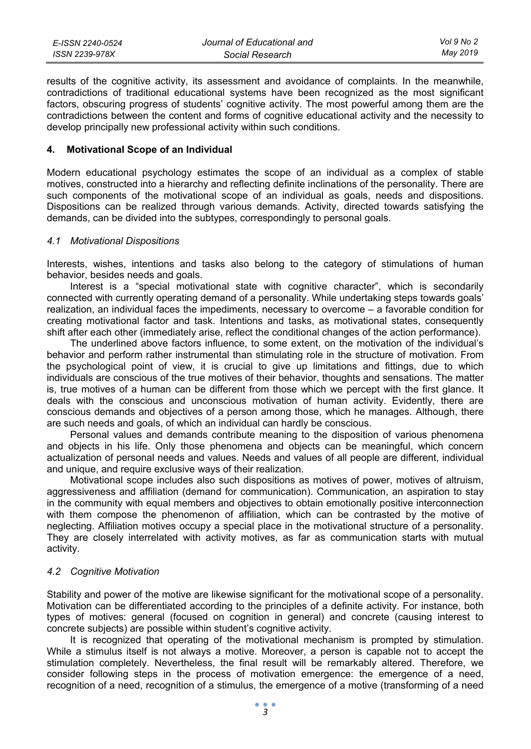| E-ISSN 2240-0524 | Journal of Educational and | Vol 9 No 2 |
|------------------|----------------------------|------------|
| ISSN 2239-978X   | Social Research            | May 2019   |

results of the cognitive activity, its assessment and avoidance of complaints. In the meanwhile, contradictions of traditional educational systems have been recognized as the most significant factors, obscuring progress of students' cognitive activity. The most powerful among them are the contradictions between the content and forms of cognitive educational activity and the necessity to develop principally new professional activity within such conditions.

#### **4. Motivational Scope of an Individual**

Modern educational psychology estimates the scope of an individual as a complex of stable motives, constructed into a hierarchy and reflecting definite inclinations of the personality. There are such components of the motivational scope of an individual as goals, needs and dispositions. Dispositions can be realized through various demands. Activity, directed towards satisfying the demands, can be divided into the subtypes, correspondingly to personal goals.

#### *4.1 Motivational Dispositions*

Interests, wishes, intentions and tasks also belong to the category of stimulations of human behavior, besides needs and goals.

Interest is a "special motivational state with cognitive character", which is secondarily connected with currently operating demand of a personality. While undertaking steps towards goals' realization, an individual faces the impediments, necessary to overcome – a favorable condition for creating motivational factor and task. Intentions and tasks, as motivational states, consequently shift after each other (immediately arise, reflect the conditional changes of the action performance).

The underlined above factors influence, to some extent, on the motivation of the individual's behavior and perform rather instrumental than stimulating role in the structure of motivation. From the psychological point of view, it is crucial to give up limitations and fittings, due to which individuals are conscious of the true motives of their behavior, thoughts and sensations. The matter is, true motives of a human can be different from those which we percept with the first glance. It deals with the conscious and unconscious motivation of human activity. Evidently, there are conscious demands and objectives of a person among those, which he manages. Although, there are such needs and goals, of which an individual can hardly be conscious.

Personal values and demands contribute meaning to the disposition of various phenomena and objects in his life. Only those phenomena and objects can be meaningful, which concern actualization of personal needs and values. Needs and values of all people are different, individual and unique, and require exclusive ways of their realization.

Motivational scope includes also such dispositions as motives of power, motives of altruism, aggressiveness and affiliation (demand for communication). Communication, an aspiration to stay in the community with equal members and objectives to obtain emotionally positive interconnection with them compose the phenomenon of affiliation, which can be contrasted by the motive of neglecting. Affiliation motives occupy a special place in the motivational structure of a personality. They are closely interrelated with activity motives, as far as communication starts with mutual activity.

## *4.2 Cognitive Motivation*

Stability and power of the motive are likewise significant for the motivational scope of a personality. Motivation can be differentiated according to the principles of a definite activity. For instance, both types of motives: general (focused on cognition in general) and concrete (causing interest to concrete subjects) are possible within student's cognitive activity.

It is recognized that operating of the motivational mechanism is prompted by stimulation. While a stimulus itself is not always a motive. Moreover, a person is capable not to accept the stimulation completely. Nevertheless, the final result will be remarkably altered. Therefore, we consider following steps in the process of motivation emergence: the emergence of a need, recognition of a need, recognition of a stimulus, the emergence of a motive (transforming of a need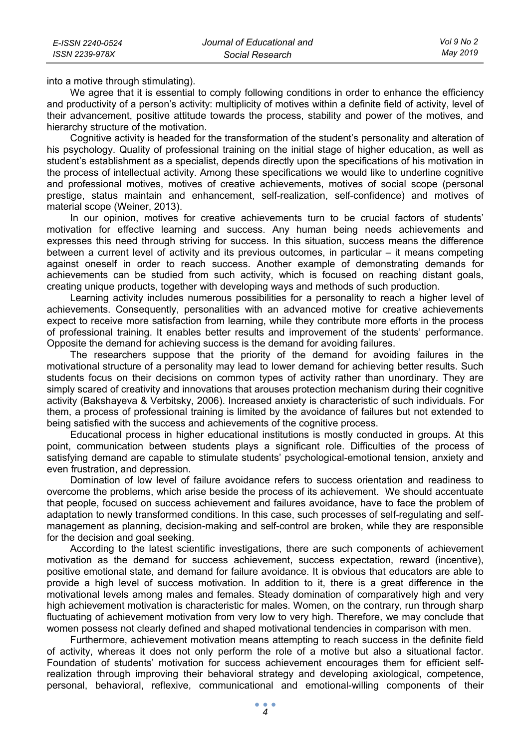into a motive through stimulating).

We agree that it is essential to comply following conditions in order to enhance the efficiency and productivity of a person's activity: multiplicity of motives within a definite field of activity, level of their advancement, positive attitude towards the process, stability and power of the motives, and hierarchy structure of the motivation.

Cognitive activity is headed for the transformation of the student's personality and alteration of his psychology. Quality of professional training on the initial stage of higher education, as well as student's establishment as a specialist, depends directly upon the specifications of his motivation in the process of intellectual activity. Among these specifications we would like to underline cognitive and professional motives, motives of creative achievements, motives of social scope (personal prestige, status maintain and enhancement, self-realization, self-confidence) and motives of material scope (Weiner, 2013).

In our opinion, motives for creative achievements turn to be crucial factors of students' motivation for effective learning and success. Any human being needs achievements and expresses this need through striving for success. In this situation, success means the difference between a current level of activity and its previous outcomes, in particular – it means competing against oneself in order to reach success. Another example of demonstrating demands for achievements can be studied from such activity, which is focused on reaching distant goals, creating unique products, together with developing ways and methods of such production.

Learning activity includes numerous possibilities for a personality to reach a higher level of achievements. Consequently, personalities with an advanced motive for creative achievements expect to receive more satisfaction from learning, while they contribute more efforts in the process of professional training. It enables better results and improvement of the students' performance. Opposite the demand for achieving success is the demand for avoiding failures.

The researchers suppose that the priority of the demand for avoiding failures in the motivational structure of a personality may lead to lower demand for achieving better results. Such students focus on their decisions on common types of activity rather than unordinary. They are simply scared of creativity and innovations that arouses protection mechanism during their cognitive activity (Bakshayeva & Verbitsky, 2006). Increased anxiety is characteristic of such individuals. For them, a process of professional training is limited by the avoidance of failures but not extended to being satisfied with the success and achievements of the cognitive process.

Educational process in higher educational institutions is mostly conducted in groups. At this point, communication between students plays a significant role. Difficulties of the process of satisfying demand are capable to stimulate students' psychological-emotional tension, anxiety and even frustration, and depression.

Domination of low level of failure avoidance refers to success orientation and readiness to overcome the problems, which arise beside the process of its achievement. We should accentuate that people, focused on success achievement and failures avoidance, have to face the problem of adaptation to newly transformed conditions. In this case, such processes of self-regulating and selfmanagement as planning, decision-making and self-control are broken, while they are responsible for the decision and goal seeking.

According to the latest scientific investigations, there are such components of achievement motivation as the demand for success achievement, success expectation, reward (incentive), positive emotional state, and demand for failure avoidance. It is obvious that educators are able to provide a high level of success motivation. In addition to it, there is a great difference in the motivational levels among males and females. Steady domination of comparatively high and very high achievement motivation is characteristic for males. Women, on the contrary, run through sharp fluctuating of achievement motivation from very low to very high. Therefore, we may conclude that women possess not clearly defined and shaped motivational tendencies in comparison with men.

Furthermore, achievement motivation means attempting to reach success in the definite field of activity, whereas it does not only perform the role of a motive but also a situational factor. Foundation of students' motivation for success achievement encourages them for efficient selfrealization through improving their behavioral strategy and developing axiological, competence, personal, behavioral, reflexive, communicational and emotional-willing components of their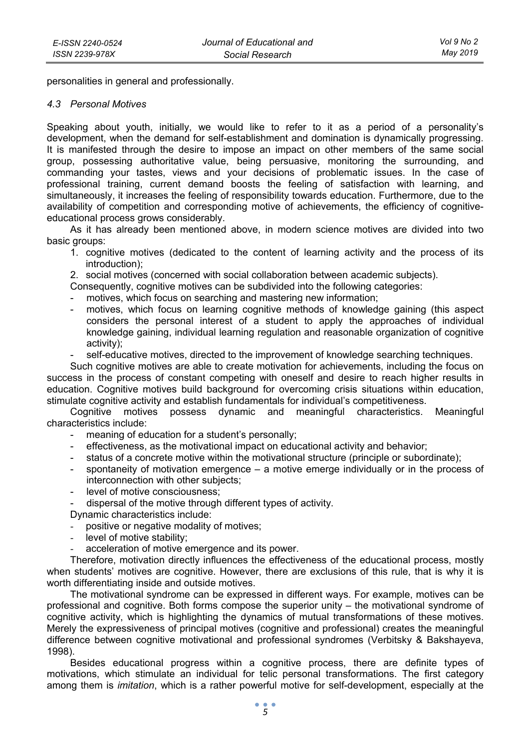personalities in general and professionally.

## *4.3 Personal Motives*

Speaking about youth, initially, we would like to refer to it as a period of a personality's development, when the demand for self-establishment and domination is dynamically progressing. It is manifested through the desire to impose an impact on other members of the same social group, possessing authoritative value, being persuasive, monitoring the surrounding, and commanding your tastes, views and your decisions of problematic issues. In the case of professional training, current demand boosts the feeling of satisfaction with learning, and simultaneously, it increases the feeling of responsibility towards education. Furthermore, due to the availability of competition and corresponding motive of achievements, the efficiency of cognitiveeducational process grows considerably.

As it has already been mentioned above, in modern science motives are divided into two basic groups:

1. cognitive motives (dedicated to the content of learning activity and the process of its introduction);

2. social motives (concerned with social collaboration between academic subjects).

Consequently, cognitive motives can be subdivided into the following categories:

- motives, which focus on searching and mastering new information;
- motives, which focus on learning cognitive methods of knowledge gaining (this aspect considers the personal interest of a student to apply the approaches of individual knowledge gaining, individual learning regulation and reasonable organization of cognitive activity);
- self-educative motives, directed to the improvement of knowledge searching techniques.

Such cognitive motives are able to create motivation for achievements, including the focus on success in the process of constant competing with oneself and desire to reach higher results in education. Cognitive motives build background for overcoming crisis situations within education, stimulate cognitive activity and establish fundamentals for individual's competitiveness.

Cognitive motives possess dynamic and meaningful characteristics. Meaningful characteristics include:

- meaning of education for a student's personally;
- effectiveness, as the motivational impact on educational activity and behavior;
- status of a concrete motive within the motivational structure (principle or subordinate);
- spontaneity of motivation emergence  $-$  a motive emerge individually or in the process of interconnection with other subjects;
- level of motive consciousness;
- dispersal of the motive through different types of activity.
- Dynamic characteristics include:
- positive or negative modality of motives;
- level of motive stability;
- acceleration of motive emergence and its power.

Therefore, motivation directly influences the effectiveness of the educational process, mostly when students' motives are cognitive. However, there are exclusions of this rule, that is why it is worth differentiating inside and outside motives.

The motivational syndrome can be expressed in different ways. For example, motives can be professional and cognitive. Both forms compose the superior unity – the motivational syndrome of cognitive activity, which is highlighting the dynamics of mutual transformations of these motives. Merely the expressiveness of principal motives (cognitive and professional) creates the meaningful difference between cognitive motivational and professional syndromes (Verbitsky & Bakshayeva, 1998).

Besides educational progress within a cognitive process, there are definite types of motivations, which stimulate an individual for telic personal transformations. The first category among them is *imitation*, which is a rather powerful motive for self-development, especially at the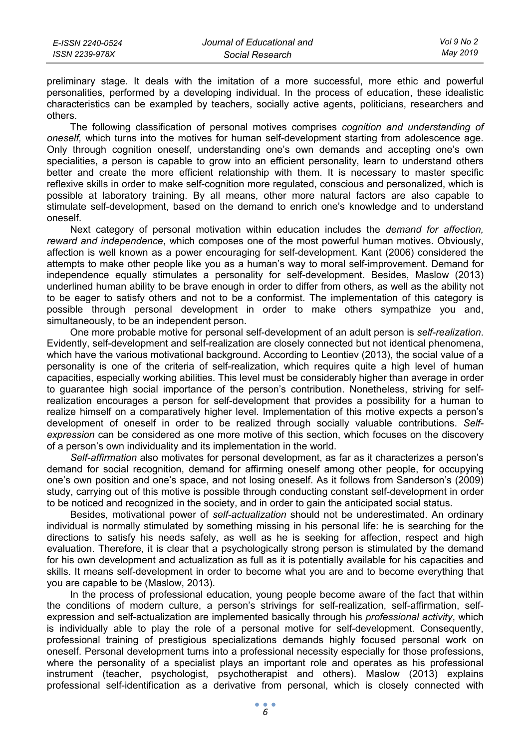| E-ISSN 2240-0524 | Journal of Educational and | Vol 9 No 2 |
|------------------|----------------------------|------------|
| ISSN 2239-978X   | Social Research            | May 2019   |

preliminary stage. It deals with the imitation of a more successful, more ethic and powerful personalities, performed by a developing individual. In the process of education, these idealistic characteristics can be exampled by teachers, socially active agents, politicians, researchers and others.

The following classification of personal motives comprises *cognition and understanding of oneself,* which turns into the motives for human self-development starting from adolescence age. Only through cognition oneself, understanding one's own demands and accepting one's own specialities, a person is capable to grow into an efficient personality, learn to understand others better and create the more efficient relationship with them. It is necessary to master specific reflexive skills in order to make self-cognition more regulated, conscious and personalized, which is possible at laboratory training. By all means, other more natural factors are also capable to stimulate self-development, based on the demand to enrich one's knowledge and to understand oneself.

Next category of personal motivation within education includes the *demand for affection, reward and independence*, which composes one of the most powerful human motives. Obviously, affection is well known as a power encouraging for self-development. Kant (2006) considered the attempts to make other people like you as a human's way to moral self-improvement. Demand for independence equally stimulates a personality for self-development. Besides, Maslow (2013) underlined human ability to be brave enough in order to differ from others, as well as the ability not to be eager to satisfy others and not to be a conformist. The implementation of this category is possible through personal development in order to make others sympathize you and, simultaneously, to be an independent person.

One more probable motive for personal self-development of an adult person is *self-realization*. Evidently, self-development and self-realization are closely connected but not identical phenomena, which have the various motivational background. According to Leontiev (2013), the social value of a personality is one of the criteria of self-realization, which requires quite a high level of human capacities, especially working abilities. This level must be considerably higher than average in order to guarantee high social importance of the person's contribution. Nonetheless, striving for selfrealization encourages a person for self-development that provides a possibility for a human to realize himself on a comparatively higher level. Implementation of this motive expects a person's development of oneself in order to be realized through socially valuable contributions. *Selfexpression* can be considered as one more motive of this section, which focuses on the discovery of a person's own individuality and its implementation in the world.

*Self-affirmation* also motivates for personal development, as far as it characterizes a person's demand for social recognition, demand for affirming oneself among other people, for occupying one's own position and one's space, and not losing oneself. As it follows from Sanderson's (2009) study, carrying out of this motive is possible through conducting constant self-development in order to be noticed and recognized in the society, and in order to gain the anticipated social status.

Besides, motivational power of *self-actualization* should not be underestimated. An ordinary individual is normally stimulated by something missing in his personal life: he is searching for the directions to satisfy his needs safely, as well as he is seeking for affection, respect and high evaluation. Therefore, it is clear that a psychologically strong person is stimulated by the demand for his own development and actualization as full as it is potentially available for his capacities and skills. It means self-development in order to become what you are and to become everything that you are capable to be (Maslow, 2013).

In the process of professional education, young people become aware of the fact that within the conditions of modern culture, a person's strivings for self-realization, self-affirmation, selfexpression and self-actualization are implemented basically through his *professional activity*, which is individually able to play the role of a personal motive for self-development. Consequently, professional training of prestigious specializations demands highly focused personal work on oneself. Personal development turns into a professional necessity especially for those professions, where the personality of a specialist plays an important role and operates as his professional instrument (teacher, psychologist, psychotherapist and others). Maslow (2013) explains professional self-identification as a derivative from personal, which is closely connected with